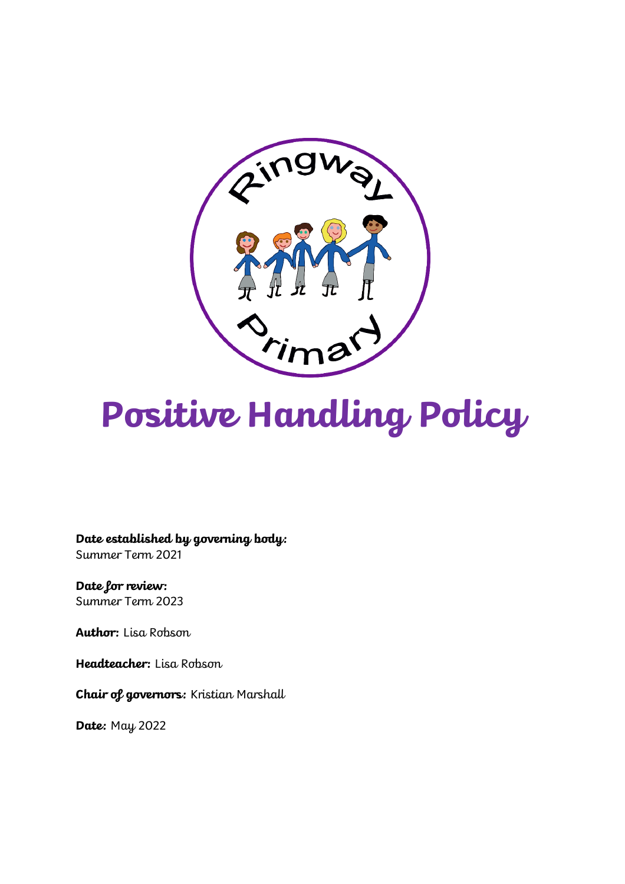

# **Positive Handling Policy**

**Date established by governing body:** Summer Term 2021

**Date for review:** Summer Term 2023

**Author:** Lisa Robson

**Headteacher:** Lisa Robson

**Chair of governors:** Kristian Marshall

**Date:** May 2022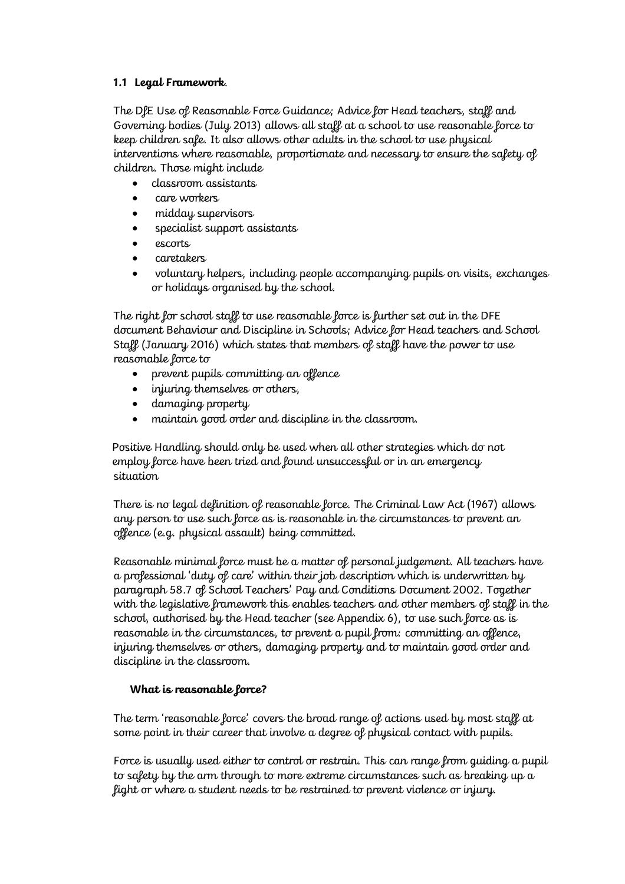# **1.1 Legal Framework**.

The DfE Use of Reasonable Force Guidance; Advice for Head teachers, staff and Governing bodies (July 2013) allows all staff at a school to use reasonable force to keep children safe. It also allows other adults in the school to use physical interventions where reasonable, proportionate and necessary to ensure the safety of children. Those might include

- classroom assistants
- care workers
- midday supervisors
- specialist support assistants
- escorts
- caretakers
- voluntary helpers, including people accompanying pupils on visits, exchanges or holidays organised by the school.

The right for school staff to use reasonable force is further set out in the DFE document Behaviour and Discipline in Schools; Advice for Head teachers and School Staff (January 2016) which states that members of staff have the power to use reasonable force to

- prevent pupils committing an offence
- injuring themselves or others,
- damaging property
- maintain good order and discipline in the classroom.

 Positive Handling should only be used when all other strategies which do not employ force have been tried and found unsuccessful or in an emergency situation

There is no legal definition of reasonable force. The Criminal Law Act (1967) allows any person to use such force as is reasonable in the circumstances to prevent an offence (e.g. physical assault) being committed.

Reasonable minimal force must be a matter of personal judgement. All teachers have a professional 'duty of care' within their job description which is underwritten by paragraph 58.7 of School Teachers' Pay and Conditions Document 2002. Together with the legislative framework this enables teachers and other members of staff in the school, authorised by the Head teacher (see Appendix  $6$ ), to use such force as is reasonable in the circumstances, to prevent a pupil from: committing an offence, injuring themselves or others, damaging property and to maintain good order and discipline in the classroom.

# **What is reasonable force?**

The term 'reasonable force' covers the broad range of actions used by most staff at some point in their career that involve a degree of physical contact with pupils.

Force is usually used either to control or restrain. This can range from guiding a pupil to safety by the arm through to more extreme circumstances such as breaking up a fight or where a student needs to be restrained to prevent violence or injury.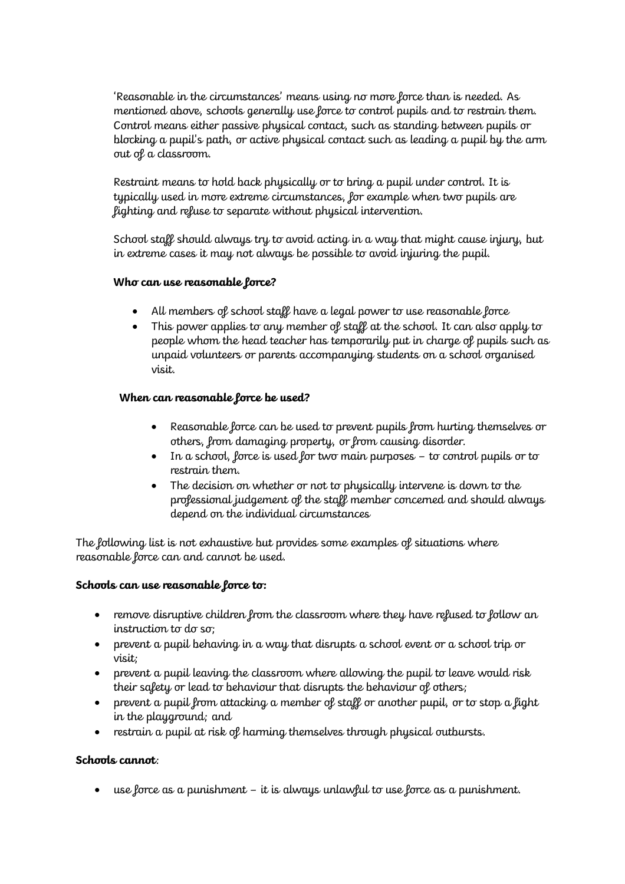'Reasonable in the circumstances' means using no more force than is needed. As mentioned above, schools generally use force to control pupils and to restrain them. Control means either passive physical contact, such as standing between pupils or blocking a pupil's path, or active physical contact such as leading a pupil by the arm out of a classroom.

Restraint means to hold back physically or to bring a pupil under control. It is typically used in more extreme circumstances, for example when two pupils are fighting and refuse to separate without physical intervention.

School staff should always try to avoid acting in a way that might cause injury, but in extreme cases it may not always be possible to avoid injuring the pupil.

## **Who can use reasonable force?**

- All members of school staff have a legal power to use reasonable force
- This power applies to any member of staff at the school. It can also apply to people whom the head teacher has temporarily put in charge of pupils such as unpaid volunteers or parents accompanying students on a school organised visit.

## **When can reasonable force be used?**

- Reasonable force can be used to prevent pupils from hurting themselves or others, from damaging property, or from causing disorder.
- In a school, force is used for two main purposes to control pupils or to restrain them.
- The decision on whether or not to physically intervene is down to the professional judgement of the staff member concerned and should always depend on the individual circumstances

The following list is not exhaustive but provides some examples of situations where reasonable force can and cannot be used.

## **Schools can use reasonable force to:**

- remove disruptive children from the classroom where they have refused to follow an instruction to do so;
- prevent a pupil behaving in a way that disrupts a school event or a school trip or visit;
- prevent a pupil leaving the classroom where allowing the pupil to leave would risk their safety or lead to behaviour that disrupts the behaviour of others;
- prevent a pupil from attacking a member of staff or another pupil, or to stop a fight in the playground; and
- restrain a pupil at risk of harming themselves through physical outbursts.

## **Schools cannot**:

 $\bullet$  use force as a punishment – it is always unlawful to use force as a punishment.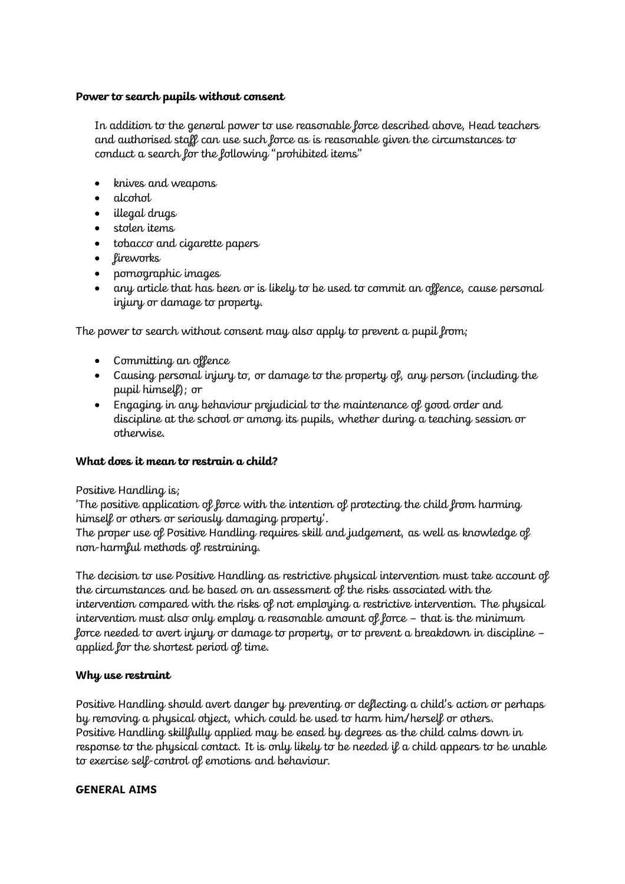## **Power to search pupils without consent**

In addition to the general power to use reasonable force described above, Head teachers and authorised staff can use such force as is reasonable given the circumstances to conduct a search for the following "prohibited items"

- knives and weapons
- alcohol
- illegal drugs
- stolen items
- tobacco and cigarette papers
- fireworks
- pornographic images
- any article that has been or is likely to be used to commit an offence, cause personal injury or damage to property.

The power to search without consent may also apply to prevent a pupil from;

- Committing an offence
- Causing personal injury to, or damage to the property of, any person (including the pupil himself); or
- Engaging in any behaviour prejudicial to the maintenance of good order and discipline at the school or among its pupils, whether during a teaching session or otherwise.

## **What does it mean to restrain a child?**

## Positive Handling is;

'The positive application of force with the intention of protecting the child from harming himself or others or seriously damaging property'.

The proper use of Positive Handling requires skill and judgement, as well as knowledge of non-harmful methods of restraining.

The decision to use Positive Handling as restrictive physical intervention must take account of the circumstances and be based on an assessment of the risks associated with the intervention compared with the risks of not employing a restrictive intervention. The physical intervention must also only employ a reasonable amount of force – that is the minimum force needed to avert injury or damage to property, or to prevent a breakdown in discipline – applied for the shortest period of time.

## **Why use restraint**

Positive Handling should avert danger by preventing or deflecting a child's action or perhaps by removing a physical object, which could be used to harm him/herself or others. Positive Handling skillfully applied may be eased by degrees as the child calms down in response to the physical contact. It is only likely to be needed  $\mathbf{i}\beta$  a child appears to be unable to exercise self-control of emotions and behaviour.

## **GENERAL AIMS**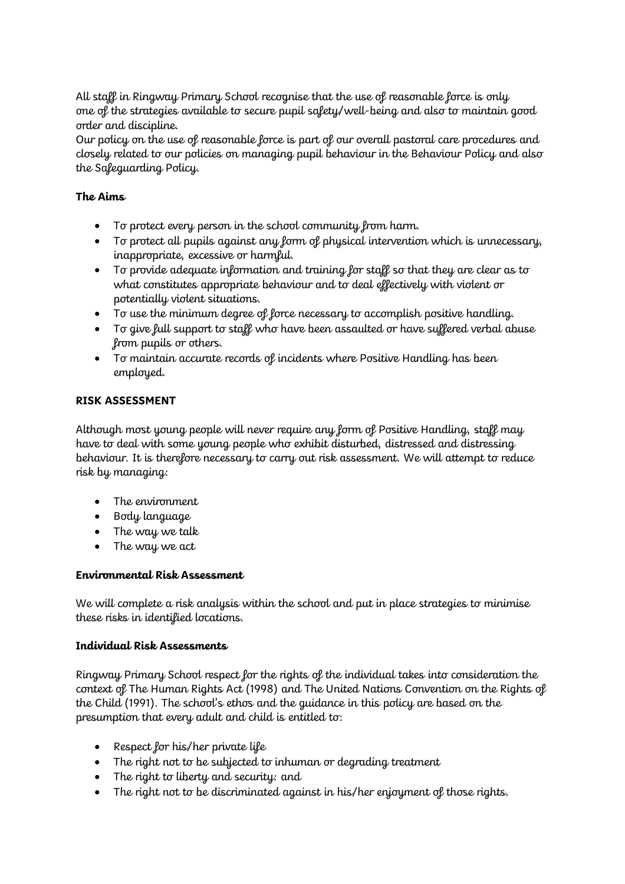All staff in Ringway Primary School recognise that the use of reasonable force is only one of the strategies available to secure pupil safety/well-being and also to maintain good order and discipline.

Our policy on the use of reasonable force is part of our overall pastoral care procedures and closely related to our policies on managing pupil behaviour in the Behaviour Policy and also the Safeguarding Policy.

# **The Aims**

- To protect every person in the school community from harm.
- To protect all pupils against any form of physical intervention which is unnecessary, inappropriate, excessive or harmful.
- To provide adequate information and training for staff so that they are clear as to what constitutes appropriate behaviour and to deal effectively with violent or potentially violent situations.
- To use the minimum degree of force necessary to accomplish positive handling.
- To give full support to staff who have been assaulted or have suffered verbal abuse from pupils or others.
- To maintain accurate records of incidents where Positive Handling has been employed.

# **RISK ASSESSMENT**

Although most young people will never require any form of Positive Handling, staff may have to deal with some young people who exhibit disturbed, distressed and distressing behaviour. It is therefore necessary to carry out risk assessment. We will attempt to reduce risk by managing:

- The environment
- Body language
- The way we talk
- The way we act

# **Environmental Risk Assessment**

We will complete a risk analysis within the school and put in place strategies to minimise these risks in identified locations.

# **Individual Risk Assessments**

Ringway Primary School respect for the rights of the individual takes into consideration the context of The Human Rights Act (1998) and The United Nations Convention on the Rights of the Child (1991). The school's ethos and the guidance in this policy are based on the presumption that every adult and child is entitled to:

- Respect for his/her private life
- The right not to be subjected to inhuman or degrading treatment
- The right to liberty and security: and
- The right not to be discriminated against in his/her enjoyment of those rights.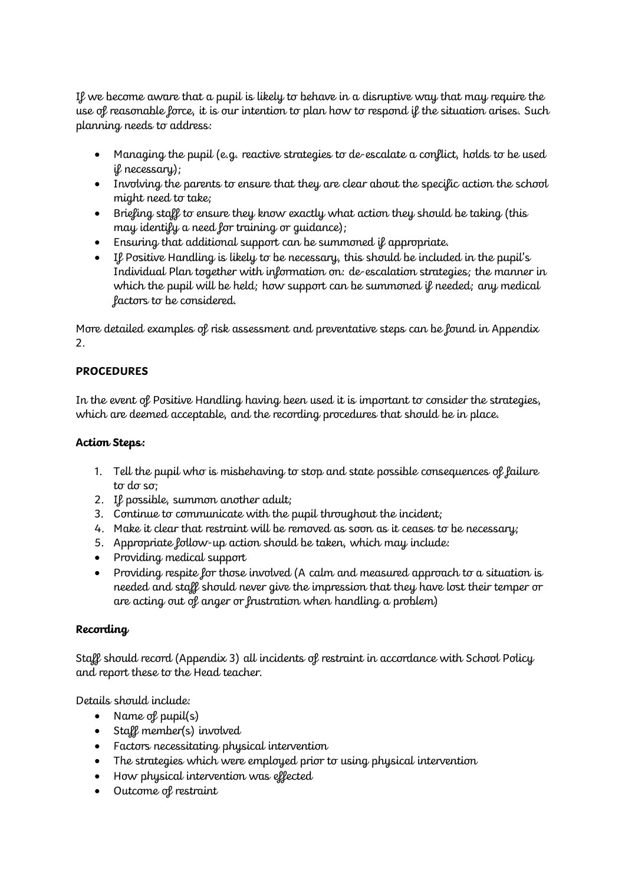If we become aware that a pupil is likely to behave in a disruptive way that may require the use of reasonable force, it is our intention to plan how to respond if the situation arises. Such planning needs to address:

- Managing the pupil (e.g. reactive strategies to de-escalate a conflict, holds to be used if necessary);
- Involving the parents to ensure that they are clear about the specific action the school might need to take;
- Briefing staff to ensure they know exactly what action they should be taking (this may identify a need for training or guidance);
- Ensuring that additional support can be summoned if appropriate.
- If Positive Handling is likely to be necessary, this should be included in the pupil's Individual Plan together with information on: de-escalation strategies; the manner in which the pupil will be held; how support can be summoned if needed; any medical factors to be considered.

More detailed examples of risk assessment and preventative steps can be found in Appendix 2.

# **PROCEDURES**

In the event of Positive Handling having been used it is important to consider the strategies, which are deemed acceptable, and the recording procedures that should be in place.

# **Action Steps:**

- 1. Tell the pupil who is misbehaving to stop and state possible consequences of failure to do so;
- 2. If possible, summon another adult;
- 3. Continue to communicate with the pupil throughout the incident;
- 4. Make it clear that restraint will be removed as soon as it ceases to be necessary;
- 5. Appropriate follow-up action should be taken, which may include:
- Providing medical support
- Providing respite for those involved (A calm and measured approach to a situation is needed and staff should never give the impression that they have lost their temper or are acting out of anger or frustration when handling a problem)

# **Recording**

Staff should record (Appendix 3) all incidents of restraint in accordance with School Policy and report these to the Head teacher.

Details should include:

- Name of pupil(s)
- Staff member(s) involved
- Factors necessitating physical intervention
- The strategies which were employed prior to using physical intervention
- How physical intervention was effected
- Outcome of restraint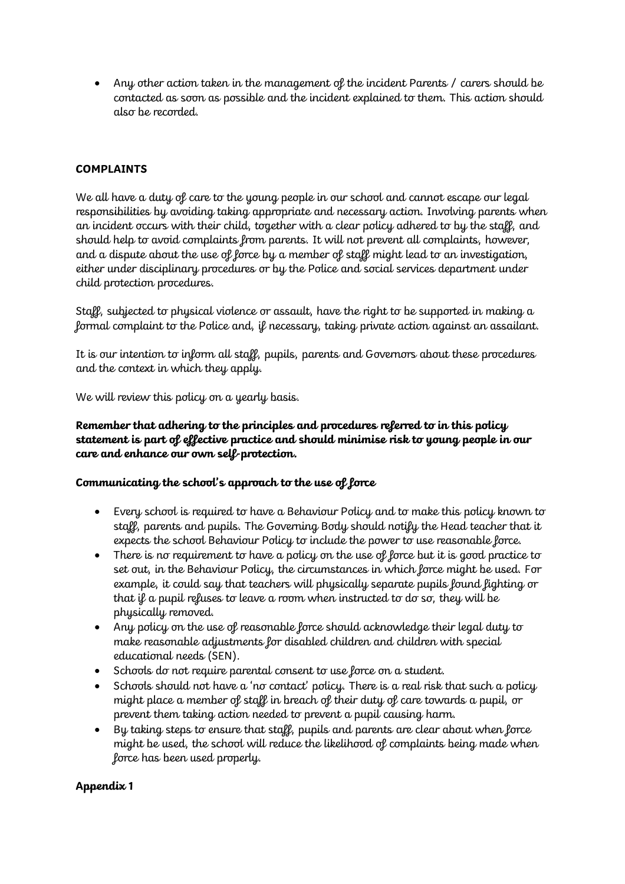• Any other action taken in the management of the incident Parents / carers should be contacted as soon as possible and the incident explained to them. This action should also be recorded.

# **COMPLAINTS**

We all have a duty of care to the young people in our school and cannot escape our legal responsibilities by avoiding taking appropriate and necessary action. Involving parents when an incident occurs with their child, together with a clear policy adhered to by the staff, and should help to avoid complaints from parents. It will not prevent all complaints, however, and a dispute about the use of force by a member of staff might lead to an investigation, either under disciplinary procedures or by the Police and social services department under child protection procedures.

Staff, subjected to physical violence or assault, have the right to be supported in making a formal complaint to the Police and, if necessary, taking private action against an assailant.

It is our intention to inform all staff, pupils, parents and Governors about these procedures and the context in which they apply.

We will review this policy on a yearly basis.

# **Remember that adhering to the principles and procedures referred to in this policy statement is part of effective practice and should minimise risk to young people in our care and enhance our own self-protection.**

# **Communicating the school's approach to the use of force**

- Every school is required to have a Behaviour Policy and to make this policy known to staff, parents and pupils. The Governing Body should notify the Head teacher that it expects the school Behaviour Policy to include the power to use reasonable force.
- There is no requirement to have a policy on the use of force but it is good practice to set out, in the Behaviour Policy, the circumstances in which force might be used. For example, it could say that teachers will physically separate pupils found fighting or that if a pupil refuses to leave a room when instructed to do so, they will be physically removed.
- Any policy on the use of reasonable force should acknowledge their legal duty to make reasonable adjustments for disabled children and children with special educational needs (SEN).
- Schools do not require parental consent to use force on a student.
- Schools should not have a 'no contact' policy. There is a real risk that such a policy might place a member of staff in breach of their duty of care towards a pupil, or prevent them taking action needed to prevent a pupil causing harm.
- By taking steps to ensure that staff, pupils and parents are clear about when force might be used, the school will reduce the likelihood of complaints being made when force has been used properly.

# **Appendix 1**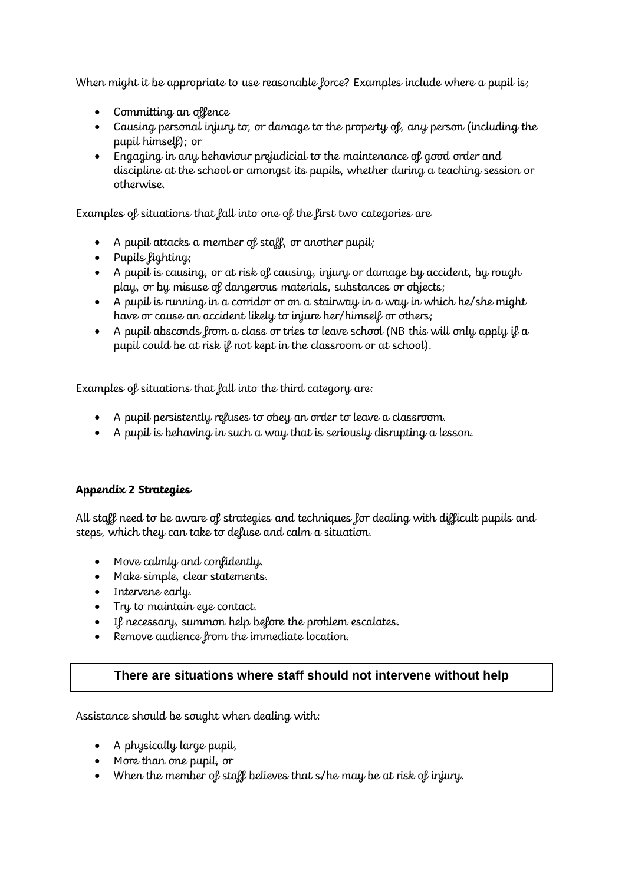When might it be appropriate to use reasonable force? Examples include where a pupil is;

- Committing an offence
- Causing personal injury to, or damage to the property of, any person (including the pupil himself); or
- Engaging in any behaviour prejudicial to the maintenance of good order and discipline at the school or amongst its pupils, whether during a teaching session or otherwise.

Examples of situations that fall into one of the first two categories are

- A pupil attacks a member of staff, or another pupil;
- Pupils fighting;
- A pupil is causing, or at risk of causing, injury or damage by accident, by rough play, or by misuse of dangerous materials, substances or objects;
- A pupil is running in a corridor or on a stairway in a way in which he/she might have or cause an accident likely to injure her/himself or others;
- A pupil absconds from a class or tries to leave school (NB this will only apply if  $a$ pupil could be at risk if not kept in the classroom or at school).

Examples of situations that fall into the third category are:

- A pupil persistently refuses to obey an order to leave a classroom.
- A pupil is behaving in such a way that is seriously disrupting a lesson.

# **Appendix 2 Strategies**

All staff need to be aware of strategies and techniques for dealing with difficult pupils and steps, which they can take to defuse and calm a situation.

- Move calmly and confidently.
- Make simple, clear statements.
- Intervene early.
- Try to maintain eye contact.
- If necessary, summon help before the problem escalates.
- Remove audience from the immediate location.

# **There are situations where staff should not intervene without help**

Assistance should be sought when dealing with:

- A physically large pupil,
- More than one pupil, or
- When the member of staff believes that s/he may be at risk of injury.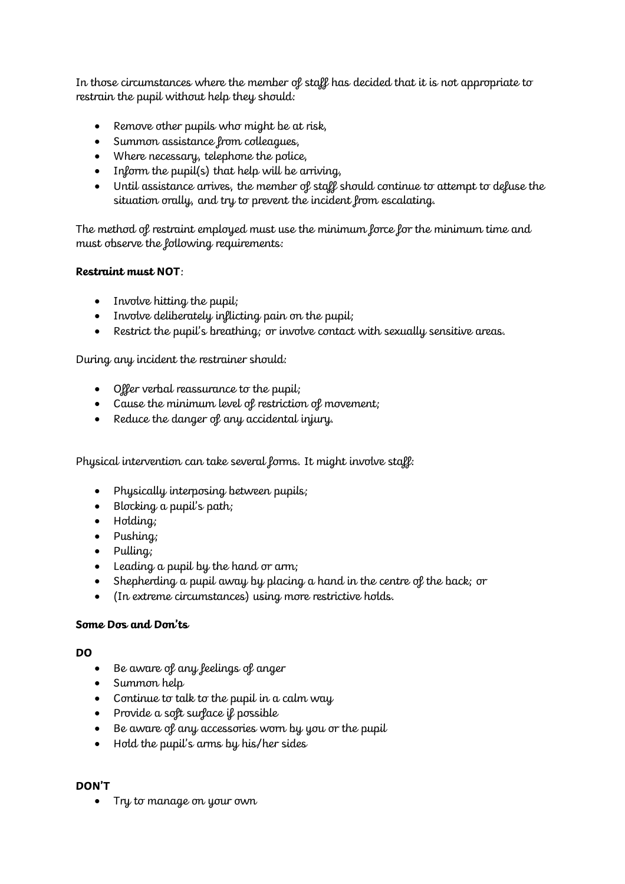In those circumstances where the member of staff has decided that it is not appropriate to restrain the pupil without help they should:

- Remove other pupils who might be at risk,
- Summon assistance from colleagues,
- Where necessary, telephone the police,
- Inform the pupil(s) that help will be arriving,
- Until assistance arrives, the member of staff should continue to attempt to defuse the situation orally, and try to prevent the incident from escalating.

The method of restraint employed must use the minimum force for the minimum time and must observe the following requirements:

## **Restraint must NOT**:

- Involve hitting the pupil;
- Involve deliberately inflicting pain on the pupil;
- Restrict the pupil's breathing; or involve contact with sexually sensitive areas.

During any incident the restrainer should:

- Offer verbal reassurance to the pupil;
- Cause the minimum level of restriction of movement;
- Reduce the danger of any accidental injury.

Physical intervention can take several forms. It might involve staff:

- Physically interposing between pupils;
- Blocking a pupil's path;
- Holding;
- Pushing;
- Pulling;
- Leading a pupil by the hand or arm;
- Shepherding a pupil away by placing a hand in the centre of the back; or
- (In extreme circumstances) using more restrictive holds.

# **Some Dos and Don'ts**

## **DO**

- Be aware of any feelings of anger
- Summon help
- Continue to talk to the pupil in a calm way
- Provide a soft surface if possible
- Be aware of any accessories worn by you or the pupil
- Hold the pupil's arms by his/her sides

# **DON'T**

• Try to manage on your own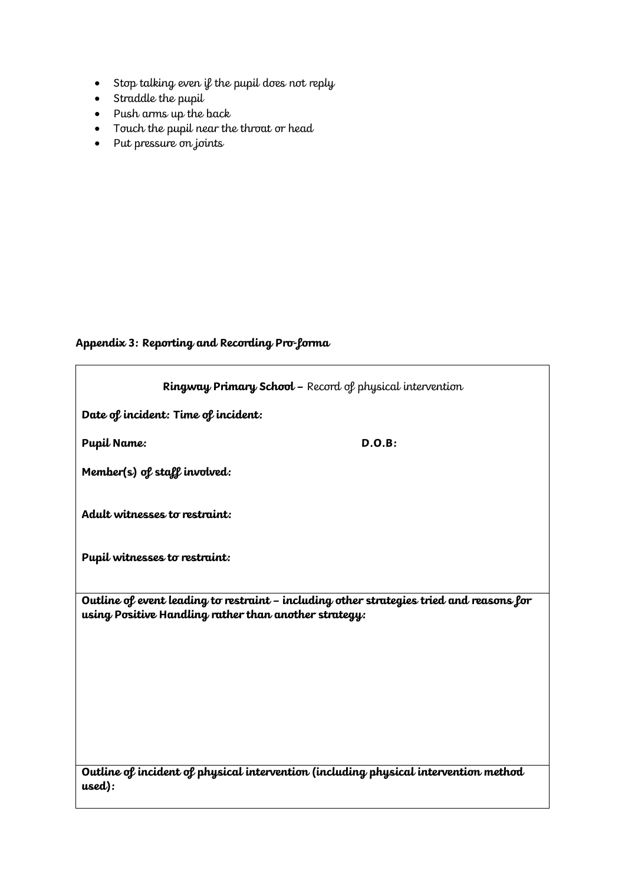- Stop talking even if the pupil does not reply
- Straddle the pupil
- Push arms up the back
- Touch the pupil near the throat or head
- Put pressure on joints

# **Appendix 3: Reporting and Recording Pro-forma**

| <b>Ringway Primary School - Record of physical intervention</b>                                                                                   |                                                                                      |  |
|---------------------------------------------------------------------------------------------------------------------------------------------------|--------------------------------------------------------------------------------------|--|
| Date of incident: Time of incident:                                                                                                               |                                                                                      |  |
| Pupil Name:                                                                                                                                       | D.O.B:                                                                               |  |
| Member(s) of staff involved:                                                                                                                      |                                                                                      |  |
| Adult witnesses to restraint:                                                                                                                     |                                                                                      |  |
| Pupil witnesses to restraint:                                                                                                                     |                                                                                      |  |
| Outline of event leading to restraint - including other strategies tried and reasons for<br>using Positive Handling rather than another strategy: |                                                                                      |  |
| used):                                                                                                                                            | Outline of incident of physical intervention (including physical intervention method |  |